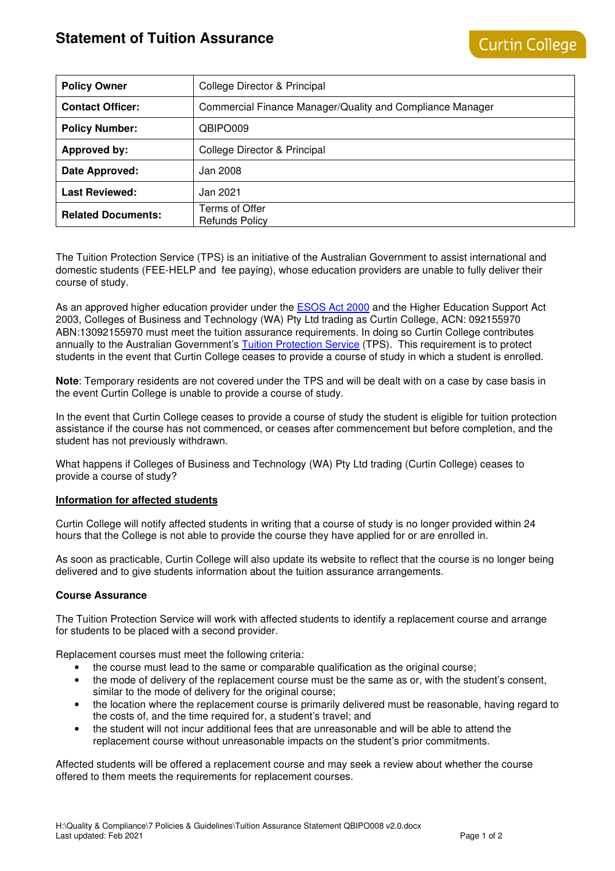# **Statement of Tuition Assurance**

| <b>Policy Owner</b>       | College Director & Principal                              |
|---------------------------|-----------------------------------------------------------|
| <b>Contact Officer:</b>   | Commercial Finance Manager/Quality and Compliance Manager |
| <b>Policy Number:</b>     | QBIPO009                                                  |
| Approved by:              | College Director & Principal                              |
| Date Approved:            | Jan 2008                                                  |
| <b>Last Reviewed:</b>     | Jan 2021                                                  |
| <b>Related Documents:</b> | Terms of Offer<br><b>Refunds Policy</b>                   |

The Tuition Protection Service (TPS) is an initiative of the Australian Government to assist international and domestic students (FEE-HELP and fee paying), whose education providers are unable to fully deliver their course of study.

As an approved higher education provider under the **ESOS Act 2000** and the Higher Education Support Act 2003, Colleges of Business and Technology (WA) Pty Ltd trading as Curtin College, ACN: 092155970 ABN:13092155970 must meet the tuition assurance requirements. In doing so Curtin College contributes annually to the Australian Government's Tuition Protection Service (TPS). This requirement is to protect students in the event that Curtin College ceases to provide a course of study in which a student is enrolled.

**Note**: Temporary residents are not covered under the TPS and will be dealt with on a case by case basis in the event Curtin College is unable to provide a course of study.

In the event that Curtin College ceases to provide a course of study the student is eligible for tuition protection assistance if the course has not commenced, or ceases after commencement but before completion, and the student has not previously withdrawn.

What happens if Colleges of Business and Technology (WA) Pty Ltd trading (Curtin College) ceases to provide a course of study?

## **Information for affected students**

Curtin College will notify affected students in writing that a course of study is no longer provided within 24 hours that the College is not able to provide the course they have applied for or are enrolled in.

As soon as practicable, Curtin College will also update its website to reflect that the course is no longer being delivered and to give students information about the tuition assurance arrangements.

## **Course Assurance**

The Tuition Protection Service will work with affected students to identify a replacement course and arrange for students to be placed with a second provider.

Replacement courses must meet the following criteria:

- the course must lead to the same or comparable qualification as the original course;
- the mode of delivery of the replacement course must be the same as or, with the student's consent, similar to the mode of delivery for the original course;
- the location where the replacement course is primarily delivered must be reasonable, having regard to the costs of, and the time required for, a student's travel; and
- the student will not incur additional fees that are unreasonable and will be able to attend the replacement course without unreasonable impacts on the student's prior commitments.

Affected students will be offered a replacement course and may seek a review about whether the course offered to them meets the requirements for replacement courses.